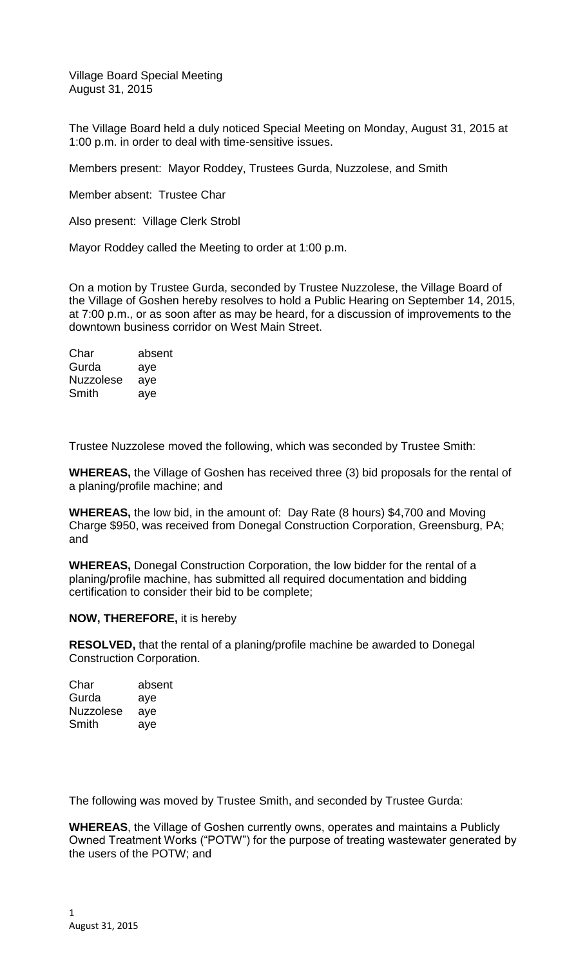Village Board Special Meeting August 31, 2015

The Village Board held a duly noticed Special Meeting on Monday, August 31, 2015 at 1:00 p.m. in order to deal with time-sensitive issues.

Members present: Mayor Roddey, Trustees Gurda, Nuzzolese, and Smith

Member absent: Trustee Char

Also present: Village Clerk Strobl

Mayor Roddey called the Meeting to order at 1:00 p.m.

On a motion by Trustee Gurda, seconded by Trustee Nuzzolese, the Village Board of the Village of Goshen hereby resolves to hold a Public Hearing on September 14, 2015, at 7:00 p.m., or as soon after as may be heard, for a discussion of improvements to the downtown business corridor on West Main Street.

Char absent Gurda aye Nuzzolese aye Smith aye

Trustee Nuzzolese moved the following, which was seconded by Trustee Smith:

**WHEREAS,** the Village of Goshen has received three (3) bid proposals for the rental of a planing/profile machine; and

**WHEREAS,** the low bid, in the amount of: Day Rate (8 hours) \$4,700 and Moving Charge \$950, was received from Donegal Construction Corporation, Greensburg, PA; and

**WHEREAS,** Donegal Construction Corporation, the low bidder for the rental of a planing/profile machine, has submitted all required documentation and bidding certification to consider their bid to be complete;

## **NOW, THEREFORE,** it is hereby

**RESOLVED,** that the rental of a planing/profile machine be awarded to Donegal Construction Corporation.

| Char             | absent |
|------------------|--------|
| Gurda            | aye    |
| <b>Nuzzolese</b> | aye    |
| Smith            | aye    |

The following was moved by Trustee Smith, and seconded by Trustee Gurda:

**WHEREAS**, the Village of Goshen currently owns, operates and maintains a Publicly Owned Treatment Works ("POTW") for the purpose of treating wastewater generated by the users of the POTW; and